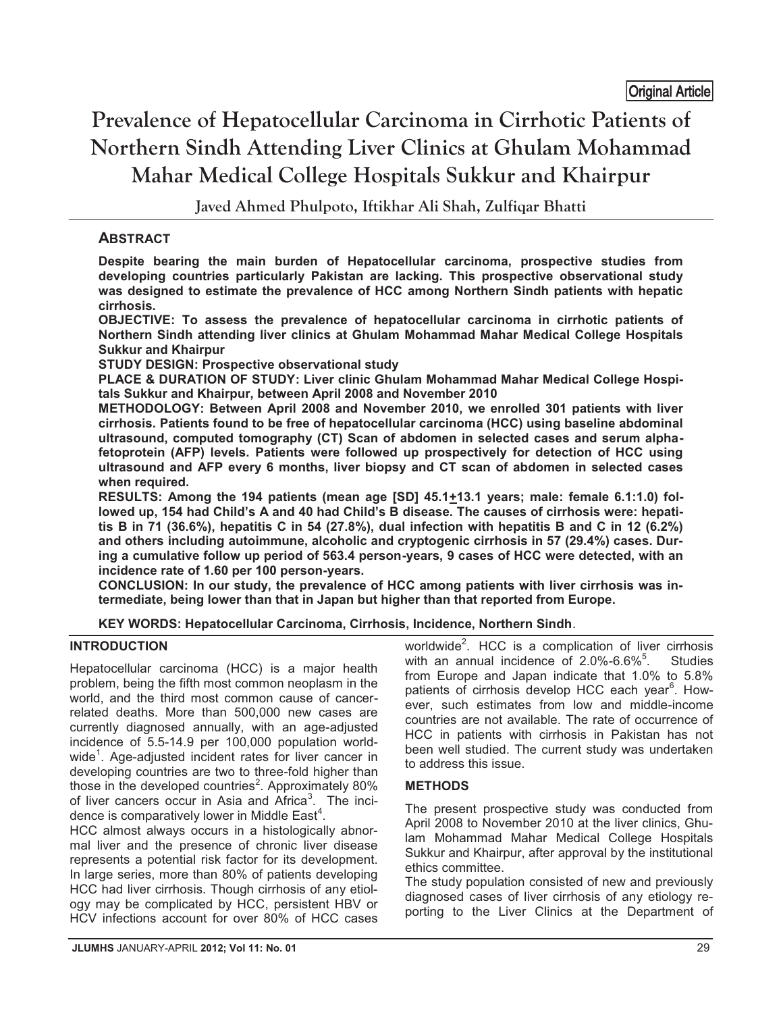# **Prevalence of Hepatocellular Carcinoma in Cirrhotic Patients of Northern Sindh Attending Liver Clinics at Ghulam Mohammad Mahar Medical College Hospitals Sukkur and Khairpur**  <u>ong manang</u>

**Javed Ahmed Phulpoto, Iftikhar Ali Shah, Zulfiqar Bhatti**

## **ABSTRACT**

**Despite bearing the main burden of Hepatocellular carcinoma, prospective studies from developing countries particularly Pakistan are lacking. This prospective observational study was designed to estimate the prevalence of HCC among Northern Sindh patients with hepatic cirrhosis.** 

**OBJECTIVE: To assess the prevalence of hepatocellular carcinoma in cirrhotic patients of Northern Sindh attending liver clinics at Ghulam Mohammad Mahar Medical College Hospitals Sukkur and Khairpur** 

**STUDY DESIGN: Prospective observational study** 

**PLACE & DURATION OF STUDY: Liver clinic Ghulam Mohammad Mahar Medical College Hospitals Sukkur and Khairpur, between April 2008 and November 2010** 

**METHODOLOGY: Between April 2008 and November 2010, we enrolled 301 patients with liver cirrhosis. Patients found to be free of hepatocellular carcinoma (HCC) using baseline abdominal ultrasound, computed tomography (CT) Scan of abdomen in selected cases and serum alphafetoprotein (AFP) levels. Patients were followed up prospectively for detection of HCC using ultrasound and AFP every 6 months, liver biopsy and CT scan of abdomen in selected cases when required.** 

**RESULTS: Among the 194 patients (mean age [SD] 45.1+13.1 years; male: female 6.1:1.0) followed up, 154 had Child's A and 40 had Child's B disease. The causes of cirrhosis were: hepatitis B in 71 (36.6%), hepatitis C in 54 (27.8%), dual infection with hepatitis B and C in 12 (6.2%) and others including autoimmune, alcoholic and cryptogenic cirrhosis in 57 (29.4%) cases. During a cumulative follow up period of 563.4 person-years, 9 cases of HCC were detected, with an incidence rate of 1.60 per 100 person-years.** 

**CONCLUSION: In our study, the prevalence of HCC among patients with liver cirrhosis was intermediate, being lower than that in Japan but higher than that reported from Europe.** 

**KEY WORDS: Hepatocellular Carcinoma, Cirrhosis, Incidence, Northern Sindh**.

### **INTRODUCTION**

Hepatocellular carcinoma (HCC) is a major health problem, being the fifth most common neoplasm in the world, and the third most common cause of cancerrelated deaths. More than 500,000 new cases are currently diagnosed annually, with an age-adjusted incidence of 5.5-14.9 per 100,000 population worldwide<sup>1</sup>. Age-adjusted incident rates for liver cancer in developing countries are two to three-fold higher than those in the developed countries<sup>2</sup>. Approximately 80% of liver cancers occur in Asia and Africa<sup>3</sup>. The incidence is comparatively lower in Middle East<sup>4</sup>.

HCC almost always occurs in a histologically abnormal liver and the presence of chronic liver disease represents a potential risk factor for its development. In large series, more than 80% of patients developing HCC had liver cirrhosis. Though cirrhosis of any etiology may be complicated by HCC, persistent HBV or HCV infections account for over 80% of HCC cases

worldwide<sup>2</sup>. HCC is a complication of liver cirrhosis with an annual incidence of  $2.0\%$ -6.6%<sup>5</sup>. **Studies** from Europe and Japan indicate that 1.0% to 5.8% patients of cirrhosis develop HCC each year<sup>6</sup>. However, such estimates from low and middle-income countries are not available. The rate of occurrence of HCC in patients with cirrhosis in Pakistan has not been well studied. The current study was undertaken to address this issue.

## **METHODS**

The present prospective study was conducted from April 2008 to November 2010 at the liver clinics, Ghulam Mohammad Mahar Medical College Hospitals Sukkur and Khairpur, after approval by the institutional ethics committee.

The study population consisted of new and previously diagnosed cases of liver cirrhosis of any etiology reporting to the Liver Clinics at the Department of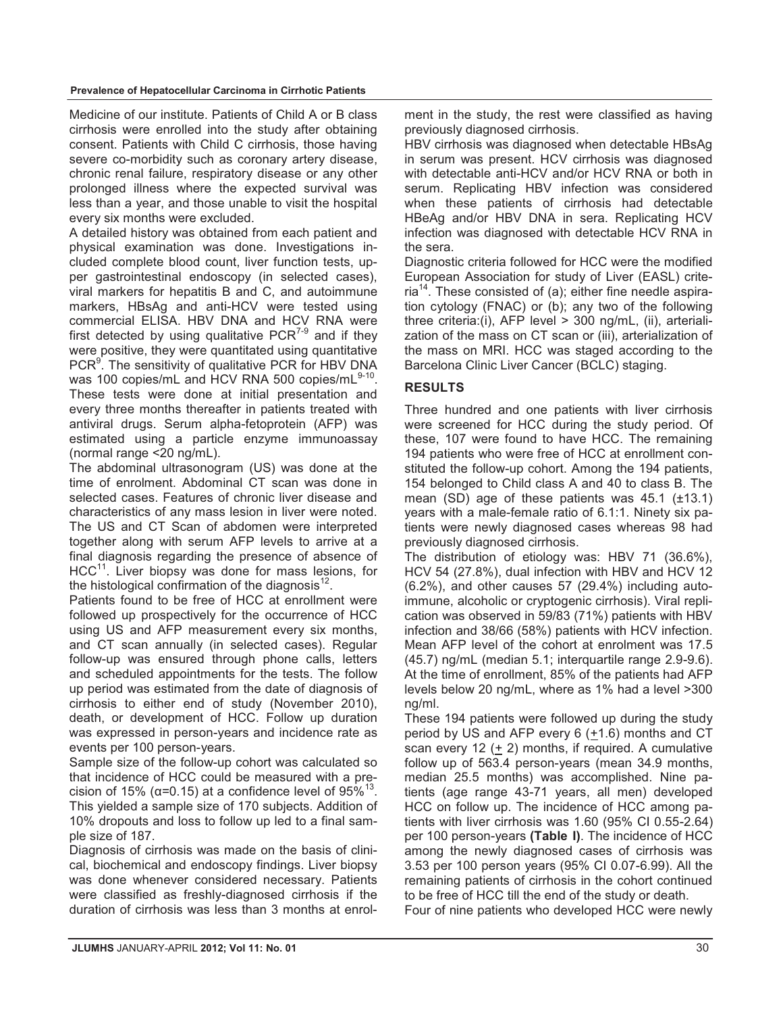Medicine of our institute. Patients of Child A or B class cirrhosis were enrolled into the study after obtaining consent. Patients with Child C cirrhosis, those having severe co-morbidity such as coronary artery disease, chronic renal failure, respiratory disease or any other prolonged illness where the expected survival was less than a year, and those unable to visit the hospital every six months were excluded.

A detailed history was obtained from each patient and physical examination was done. Investigations included complete blood count, liver function tests, upper gastrointestinal endoscopy (in selected cases), viral markers for hepatitis B and C, and autoimmune markers, HBsAg and anti-HCV were tested using commercial ELISA. HBV DNA and HCV RNA were first detected by using qualitative  $PCR^{7-9}$  and if they were positive, they were quantitated using quantitative PCR<sup>9</sup>. The sensitivity of qualitative PCR for HBV DNA was 100 copies/mL and HCV RNA 500 copies/mL 9-10. These tests were done at initial presentation and every three months thereafter in patients treated with antiviral drugs. Serum alpha-fetoprotein (AFP) was estimated using a particle enzyme immunoassay (normal range <20 ng/mL).

The abdominal ultrasonogram (US) was done at the time of enrolment. Abdominal CT scan was done in selected cases. Features of chronic liver disease and characteristics of any mass lesion in liver were noted. The US and CT Scan of abdomen were interpreted together along with serum AFP levels to arrive at a final diagnosis regarding the presence of absence of  $HCC<sup>11</sup>$ . Liver biopsy was done for mass lesions, for the histological confirmation of the diagnosis $^{12}$ .

Patients found to be free of HCC at enrollment were followed up prospectively for the occurrence of HCC using US and AFP measurement every six months, and CT scan annually (in selected cases). Regular follow-up was ensured through phone calls, letters and scheduled appointments for the tests. The follow up period was estimated from the date of diagnosis of cirrhosis to either end of study (November 2010), death, or development of HCC. Follow up duration was expressed in person-years and incidence rate as events per 100 person-years.

Sample size of the follow-up cohort was calculated so that incidence of HCC could be measured with a precision of 15% ( $\alpha$ =0.15) at a confidence level of 95%<sup>13</sup>. This yielded a sample size of 170 subjects. Addition of 10% dropouts and loss to follow up led to a final sample size of 187.

Diagnosis of cirrhosis was made on the basis of clinical, biochemical and endoscopy findings. Liver biopsy was done whenever considered necessary. Patients were classified as freshly-diagnosed cirrhosis if the duration of cirrhosis was less than 3 months at enrolment in the study, the rest were classified as having previously diagnosed cirrhosis.

HBV cirrhosis was diagnosed when detectable HBsAg in serum was present. HCV cirrhosis was diagnosed with detectable anti-HCV and/or HCV RNA or both in serum. Replicating HBV infection was considered when these patients of cirrhosis had detectable HBeAg and/or HBV DNA in sera. Replicating HCV infection was diagnosed with detectable HCV RNA in the sera.

Diagnostic criteria followed for HCC were the modified European Association for study of Liver (EASL) criteria<sup>14</sup>. These consisted of (a); either fine needle aspiration cytology (FNAC) or (b); any two of the following three criteria:(i), AFP level > 300 ng/mL, (ii), arterialization of the mass on CT scan or (iii), arterialization of the mass on MRI. HCC was staged according to the Barcelona Clinic Liver Cancer (BCLC) staging.

### **RESULTS**

Three hundred and one patients with liver cirrhosis were screened for HCC during the study period. Of these, 107 were found to have HCC. The remaining 194 patients who were free of HCC at enrollment constituted the follow-up cohort. Among the 194 patients, 154 belonged to Child class A and 40 to class B. The mean (SD) age of these patients was 45.1 (±13.1) years with a male-female ratio of 6.1:1. Ninety six patients were newly diagnosed cases whereas 98 had previously diagnosed cirrhosis.

The distribution of etiology was: HBV 71 (36.6%), HCV 54 (27.8%), dual infection with HBV and HCV 12 (6.2%), and other causes 57 (29.4%) including autoimmune, alcoholic or cryptogenic cirrhosis). Viral replication was observed in 59/83 (71%) patients with HBV infection and 38/66 (58%) patients with HCV infection. Mean AFP level of the cohort at enrolment was 17.5 (45.7) ng/mL (median 5.1; interquartile range 2.9-9.6). At the time of enrollment, 85% of the patients had AFP levels below 20 ng/mL, where as 1% had a level >300 ng/ml.

These 194 patients were followed up during the study period by US and AFP every 6 (+1.6) months and CT scan every 12 (+ 2) months, if required. A cumulative follow up of 563.4 person-years (mean 34.9 months, median 25.5 months) was accomplished. Nine patients (age range 43-71 years, all men) developed HCC on follow up. The incidence of HCC among patients with liver cirrhosis was 1.60 (95% CI 0.55-2.64) per 100 person-years **(Table I)**. The incidence of HCC among the newly diagnosed cases of cirrhosis was 3.53 per 100 person years (95% CI 0.07-6.99). All the remaining patients of cirrhosis in the cohort continued to be free of HCC till the end of the study or death.

Four of nine patients who developed HCC were newly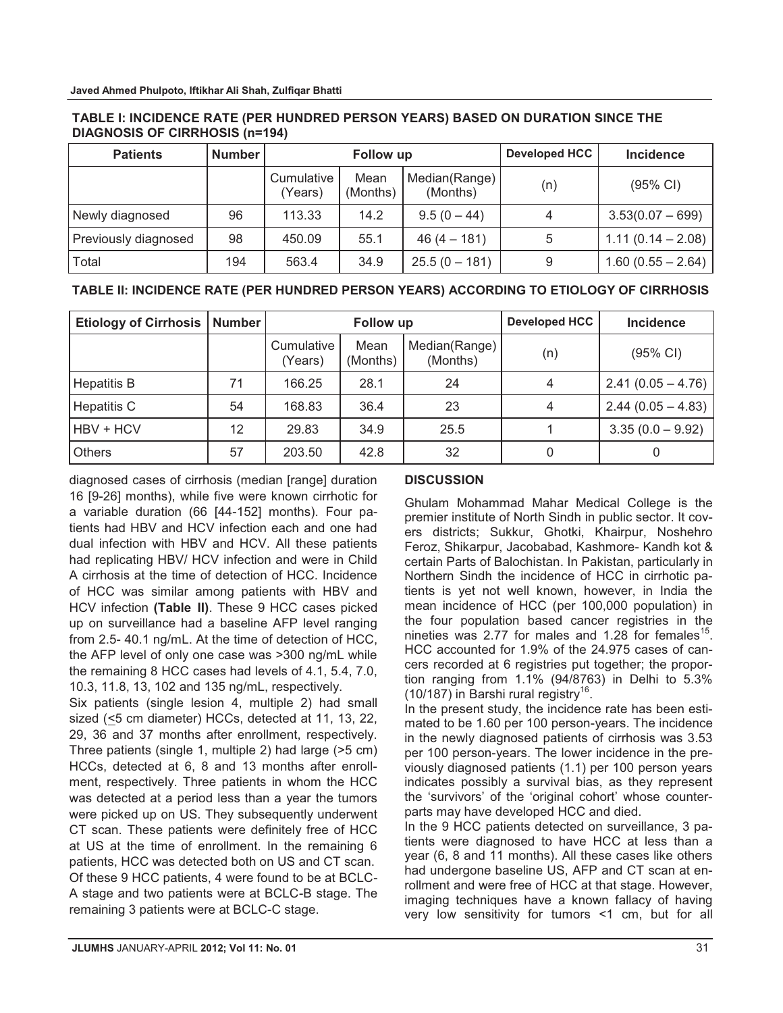| <b>Patients</b>      | <b>Number</b> | Follow up             |                  |                           | <b>Developed HCC</b> | <b>Incidence</b>    |
|----------------------|---------------|-----------------------|------------------|---------------------------|----------------------|---------------------|
|                      |               | Cumulative<br>(Years) | Mean<br>(Months) | Median(Range)<br>(Months) | (n)                  | (95% CI)            |
| Newly diagnosed      | 96            | 113.33                | 14.2             | $9.5(0 - 44)$             | 4                    | $3.53(0.07 - 699)$  |
| Previously diagnosed | 98            | 450.09                | 55.1             | $46(4 - 181)$             | 5                    | $1.11(0.14 - 2.08)$ |
| Total                | 194           | 563.4                 | 34.9             | $25.5(0 - 181)$           | 9                    | $1.60(0.55 - 2.64)$ |

#### **TABLE I: INCIDENCE RATE (PER HUNDRED PERSON YEARS) BASED ON DURATION SINCE THE DIAGNOSIS OF CIRRHOSIS (n=194)**

## **TABLE II: INCIDENCE RATE (PER HUNDRED PERSON YEARS) ACCORDING TO ETIOLOGY OF CIRRHOSIS**

| <b>Etiology of Cirrhosis   Number</b> |    |                       | Follow up        |                           | <b>Developed HCC</b> | <b>Incidence</b>    |
|---------------------------------------|----|-----------------------|------------------|---------------------------|----------------------|---------------------|
|                                       |    | Cumulative<br>(Years) | Mean<br>(Months) | Median(Range)<br>(Months) | (n)                  | (95% CI)            |
| <b>Hepatitis B</b>                    | 71 | 166.25                | 28.1             | 24                        | 4                    | $2.41(0.05 - 4.76)$ |
| <b>Hepatitis C</b>                    | 54 | 168.83                | 36.4             | 23                        | 4                    | $2.44(0.05 - 4.83)$ |
| <b>HBV + HCV</b>                      | 12 | 29.83                 | 34.9             | 25.5                      |                      | $3.35(0.0 - 9.92)$  |
| <b>Others</b>                         | 57 | 203.50                | 42.8             | 32                        |                      |                     |

diagnosed cases of cirrhosis (median [range] duration 16 [9-26] months), while five were known cirrhotic for a variable duration (66 [44-152] months). Four patients had HBV and HCV infection each and one had dual infection with HBV and HCV. All these patients had replicating HBV/ HCV infection and were in Child A cirrhosis at the time of detection of HCC. Incidence of HCC was similar among patients with HBV and HCV infection **(Table II)**. These 9 HCC cases picked up on surveillance had a baseline AFP level ranging from 2.5- 40.1 ng/mL. At the time of detection of HCC, the AFP level of only one case was >300 ng/mL while the remaining 8 HCC cases had levels of 4.1, 5.4, 7.0, 10.3, 11.8, 13, 102 and 135 ng/mL, respectively.

Six patients (single lesion 4, multiple 2) had small sized (<5 cm diameter) HCCs, detected at 11, 13, 22, 29, 36 and 37 months after enrollment, respectively. Three patients (single 1, multiple 2) had large (>5 cm) HCCs, detected at 6, 8 and 13 months after enrollment, respectively. Three patients in whom the HCC was detected at a period less than a year the tumors were picked up on US. They subsequently underwent CT scan. These patients were definitely free of HCC at US at the time of enrollment. In the remaining 6 patients, HCC was detected both on US and CT scan. Of these 9 HCC patients, 4 were found to be at BCLC-A stage and two patients were at BCLC-B stage. The remaining 3 patients were at BCLC-C stage.

## **DISCUSSION**

Ghulam Mohammad Mahar Medical College is the premier institute of North Sindh in public sector. It covers districts; Sukkur, Ghotki, Khairpur, Noshehro Feroz, Shikarpur, Jacobabad, Kashmore- Kandh kot & certain Parts of Balochistan. In Pakistan, particularly in Northern Sindh the incidence of HCC in cirrhotic patients is yet not well known, however, in India the mean incidence of HCC (per 100,000 population) in the four population based cancer registries in the nineties was 2.77 for males and 1.28 for females<sup>15</sup>. HCC accounted for 1.9% of the 24.975 cases of cancers recorded at 6 registries put together; the proportion ranging from 1.1% (94/8763) in Delhi to 5.3% (10/187) in Barshi rural registry<sup>16</sup>.

In the present study, the incidence rate has been estimated to be 1.60 per 100 person-years. The incidence in the newly diagnosed patients of cirrhosis was 3.53 per 100 person-years. The lower incidence in the previously diagnosed patients (1.1) per 100 person years indicates possibly a survival bias, as they represent the 'survivors' of the 'original cohort' whose counterparts may have developed HCC and died.

In the 9 HCC patients detected on surveillance, 3 patients were diagnosed to have HCC at less than a year (6, 8 and 11 months). All these cases like others had undergone baseline US, AFP and CT scan at enrollment and were free of HCC at that stage. However, imaging techniques have a known fallacy of having very low sensitivity for tumors <1 cm, but for all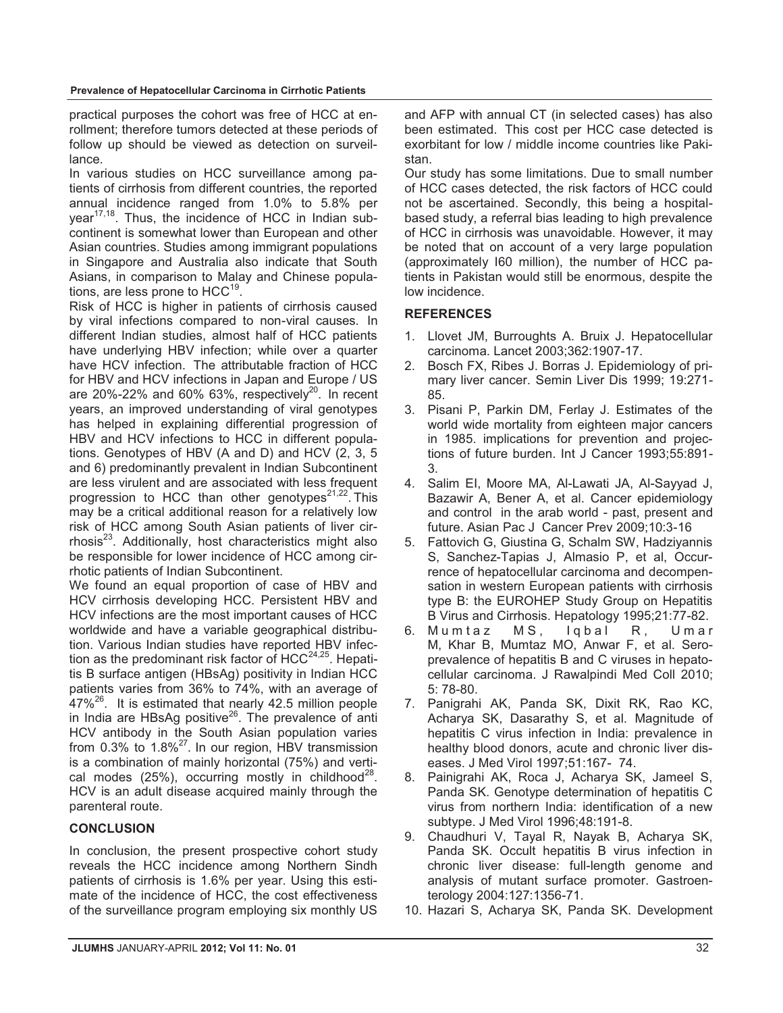practical purposes the cohort was free of HCC at enrollment; therefore tumors detected at these periods of follow up should be viewed as detection on surveillance.

In various studies on HCC surveillance among patients of cirrhosis from different countries, the reported annual incidence ranged from 1.0% to 5.8% per year $17,18$ . Thus, the incidence of HCC in Indian subcontinent is somewhat lower than European and other Asian countries. Studies among immigrant populations in Singapore and Australia also indicate that South Asians, in comparison to Malay and Chinese populations, are less prone to  $HCC^{19}$ .

Risk of HCC is higher in patients of cirrhosis caused by viral infections compared to non-viral causes. In different Indian studies, almost half of HCC patients have underlying HBV infection; while over a quarter have HCV infection. The attributable fraction of HCC for HBV and HCV infections in Japan and Europe / US are 20%-22% and 60% 63%, respectively<sup>20</sup>. In recent years, an improved understanding of viral genotypes has helped in explaining differential progression of HBV and HCV infections to HCC in different populations. Genotypes of HBV (A and D) and HCV (2, 3, 5 and 6) predominantly prevalent in Indian Subcontinent are less virulent and are associated with less frequent progression to HCC than other genotypes<sup>21,22</sup>. This may be a critical additional reason for a relatively low risk of HCC among South Asian patients of liver cirrhosis $^{23}$ . Additionally, host characteristics might also be responsible for lower incidence of HCC among cirrhotic patients of Indian Subcontinent.

We found an equal proportion of case of HBV and HCV cirrhosis developing HCC. Persistent HBV and HCV infections are the most important causes of HCC worldwide and have a variable geographical distribution. Various Indian studies have reported HBV infection as the predominant risk factor of  $HCC^{24,25}$ . Hepatitis B surface antigen (HBsAg) positivity in Indian HCC patients varies from 36% to 74%, with an average of  $47\%^{26}$ . It is estimated that nearly 42.5 million people in India are HBsAg positive $26$ . The prevalence of anti HCV antibody in the South Asian population varies from  $0.3\%$  to  $1.8\%$ <sup>27</sup>. In our region, HBV transmission is a combination of mainly horizontal (75%) and vertical modes  $(25%)$ , occurring mostly in childhood<sup>28</sup>. HCV is an adult disease acquired mainly through the parenteral route.

### **CONCLUSION**

In conclusion, the present prospective cohort study reveals the HCC incidence among Northern Sindh patients of cirrhosis is 1.6% per year. Using this estimate of the incidence of HCC, the cost effectiveness of the surveillance program employing six monthly US

and AFP with annual CT (in selected cases) has also been estimated. This cost per HCC case detected is exorbitant for low / middle income countries like Pakistan.

Our study has some limitations. Due to small number of HCC cases detected, the risk factors of HCC could not be ascertained. Secondly, this being a hospitalbased study, a referral bias leading to high prevalence of HCC in cirrhosis was unavoidable. However, it may be noted that on account of a very large population (approximately I60 million), the number of HCC patients in Pakistan would still be enormous, despite the low incidence.

## **REFERENCES**

- 1. Llovet JM, Burroughts A. Bruix J. Hepatocellular carcinoma. Lancet 2003;362:1907-17.
- 2. Bosch FX, Ribes J. Borras J. Epidemiology of primary liver cancer. Semin Liver Dis 1999; 19:271- 85.
- 3. Pisani P, Parkin DM, Ferlay J. Estimates of the world wide mortality from eighteen major cancers in 1985. implications for prevention and projections of future burden. Int J Cancer 1993;55:891- 3.
- 4. Salim EI, Moore MA, Al-Lawati JA, Al-Sayyad J, Bazawir A, Bener A, et al. Cancer epidemiology and control in the arab world - past, present and future. Asian Pac J Cancer Prev 2009;10:3-16
- 5. Fattovich G, Giustina G, Schalm SW, Hadziyannis S, Sanchez-Tapias J, Almasio P, et al, Occurrence of hepatocellular carcinoma and decompensation in western European patients with cirrhosis type B: the EUROHEP Study Group on Hepatitis B Virus and Cirrhosis. Hepatology 1995;21:77-82.
- 6. Mumtaz MS, Iqbal R, Umar M, Khar B, Mumtaz MO, Anwar F, et al. Seroprevalence of hepatitis B and C viruses in hepatocellular carcinoma. J Rawalpindi Med Coll 2010; 5: 78-80.
- 7. Panigrahi AK, Panda SK, Dixit RK, Rao KC, Acharya SK, Dasarathy S, et al. Magnitude of hepatitis C virus infection in India: prevalence in healthy blood donors, acute and chronic liver diseases. J Med Virol 1997;51:167- 74.
- 8. Painigrahi AK, Roca J, Acharya SK, Jameel S, Panda SK. Genotype determination of hepatitis C virus from northern India: identification of a new subtype. J Med Virol 1996;48:191-8.
- 9. Chaudhuri V, Tayal R, Nayak B, Acharya SK, Panda SK. Occult hepatitis B virus infection in chronic liver disease: full-length genome and analysis of mutant surface promoter. Gastroenterology 2004:127:1356-71.
- 10. Hazari S, Acharya SK, Panda SK. Development